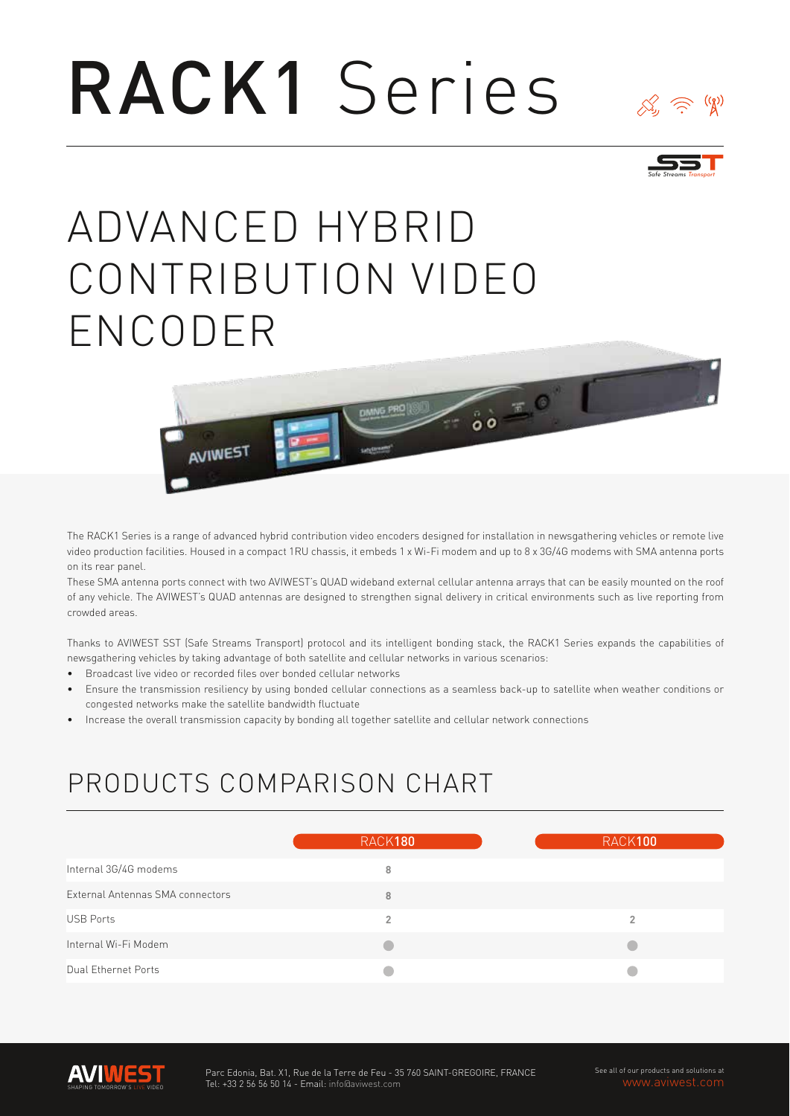# RACK1 Series



# ADVANCED HYBRID CONTRIBUTION VIDEO ENCODER



The RACK1 Series is a range of advanced hybrid contribution video encoders designed for installation in newsgathering vehicles or remote live video production facilities. Housed in a compact 1RU chassis, it embeds 1 x Wi-Fi modem and up to 8 x 3G/4G modems with SMA antenna ports on its rear panel.

These SMA antenna ports connect with two AVIWEST's QUAD wideband external cellular antenna arrays that can be easily mounted on the roof of any vehicle. The AVIWEST's QUAD antennas are designed to strengthen signal delivery in critical environments such as live reporting from crowded areas.

Thanks to AVIWEST SST (Safe Streams Transport) protocol and its intelligent bonding stack, the RACK1 Series expands the capabilities of newsgathering vehicles by taking advantage of both satellite and cellular networks in various scenarios:

- Broadcast live video or recorded files over bonded cellular networks •
- Ensure the transmission resiliency by using bonded cellular connections as a seamless back-up to satellite when weather conditions or congested networks make the satellite bandwidth fluctuate •
- Increase the overall transmission capacity by bonding all together satellite and cellular network connections •

## PRODUCTS COMPARISON CHART

|                                  | RACK180 | RACK100 |
|----------------------------------|---------|---------|
| Internal 3G/4G modems            | 8       |         |
| External Antennas SMA connectors | 8       |         |
| <b>USB Ports</b>                 | 2       | 2       |
| Internal Wi-Fi Modem             |         |         |
| Dual Ethernet Ports              |         |         |